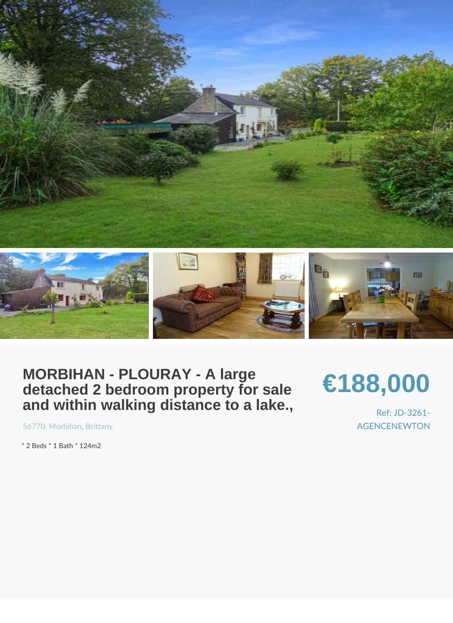# MORBIHAN - PLOURAY - A large<br>detached 2 bedroom property for sale<br>and within walking distance to a lake.,

## €188,000

Ref: JD-326 **AGENCENEWTO** 

5677, Morbih, Bamittany

\* 2 Beds \* 1 Bath \* 124m2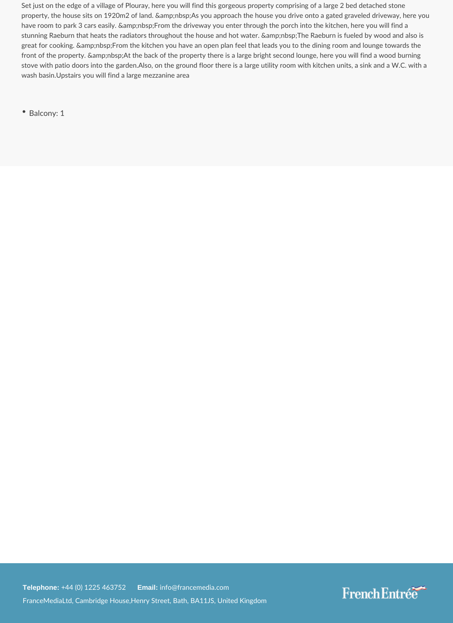Set just on the edge of a village of Plouray, here you will find this gorgeous property comprising of a large 2 bed detached stone property, the house sits on 1920m2 of land. As you approach the house you drive onto a gated graveled driveway, here you have room to park 3 cars easily. From the driveway you enter through the porch into the kitchen, here you will find a stunning Raeburn that heats the radiators throughout the house and hot water. The Raeburn is fueled by wood and also is great for cooking. & amp;nbsp;From the kitchen you have an open plan feel that leads you to the dining room and lounge towards the front of the property. At the back of the property there is a large bright second lounge, here you will find a wood burning stove with patio doors into the garden.Also, on the ground floor there is a large utility room with kitchen units, a sink and a W.C. with a wash basin.Upstairs you will find a large mezzanine area

• Balcony: 1

**Telephone:** +44 (0) 1225 463752 **Email:** info@francemedia.com FranceMediaLtd, Cambridge House,Henry Street, Bath, BA11JS, United Kingdom

### French Entrée